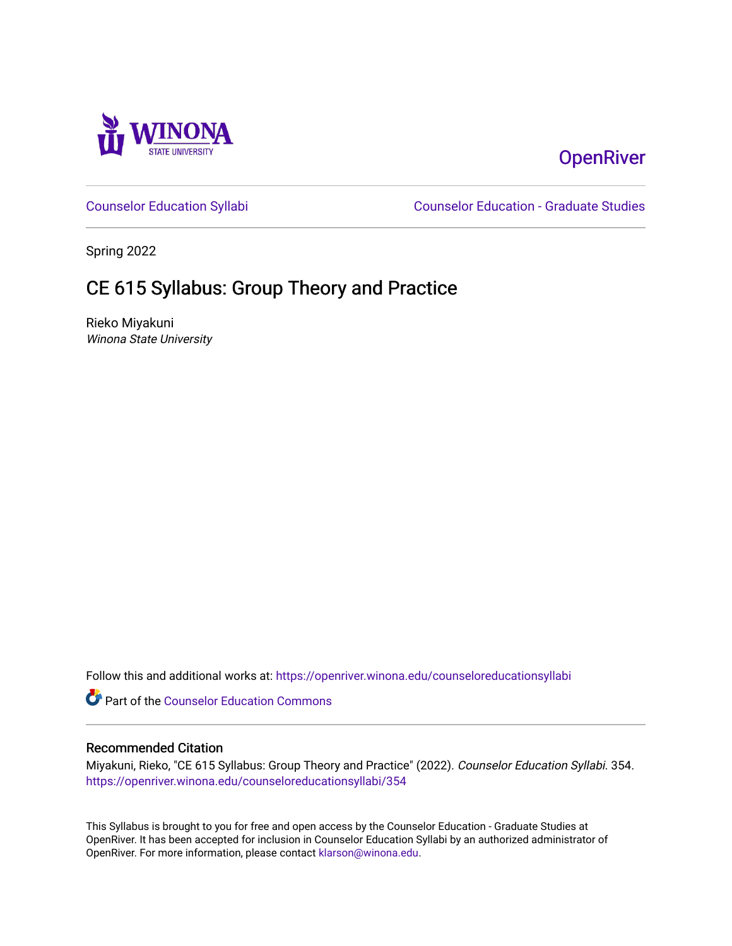

## **OpenRiver**

[Counselor Education Syllabi](https://openriver.winona.edu/counseloreducationsyllabi) [Counselor Education - Graduate Studies](https://openriver.winona.edu/counseloreducation) 

Spring 2022

# CE 615 Syllabus: Group Theory and Practice

Rieko Miyakuni Winona State University

Follow this and additional works at: [https://openriver.winona.edu/counseloreducationsyllabi](https://openriver.winona.edu/counseloreducationsyllabi?utm_source=openriver.winona.edu%2Fcounseloreducationsyllabi%2F354&utm_medium=PDF&utm_campaign=PDFCoverPages)

Part of the [Counselor Education Commons](http://network.bepress.com/hgg/discipline/1278?utm_source=openriver.winona.edu%2Fcounseloreducationsyllabi%2F354&utm_medium=PDF&utm_campaign=PDFCoverPages) 

## Recommended Citation

Miyakuni, Rieko, "CE 615 Syllabus: Group Theory and Practice" (2022). Counselor Education Syllabi. 354. [https://openriver.winona.edu/counseloreducationsyllabi/354](https://openriver.winona.edu/counseloreducationsyllabi/354?utm_source=openriver.winona.edu%2Fcounseloreducationsyllabi%2F354&utm_medium=PDF&utm_campaign=PDFCoverPages)

This Syllabus is brought to you for free and open access by the Counselor Education - Graduate Studies at OpenRiver. It has been accepted for inclusion in Counselor Education Syllabi by an authorized administrator of OpenRiver. For more information, please contact [klarson@winona.edu](mailto:klarson@winona.edu).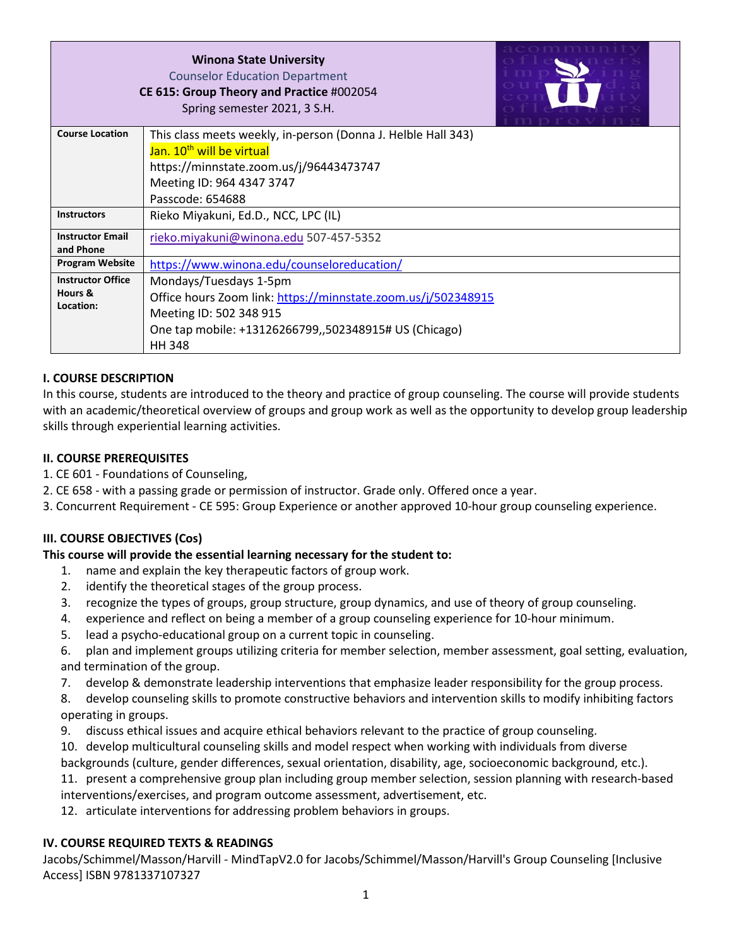|                          | <b>Winona State University</b><br><b>Counselor Education Department</b><br>CE 615: Group Theory and Practice #002054<br>Spring semester 2021, 3 S.H. |
|--------------------------|------------------------------------------------------------------------------------------------------------------------------------------------------|
| <b>Course Location</b>   | This class meets weekly, in-person (Donna J. Helble Hall 343)                                                                                        |
|                          | Jan. 10 <sup>th</sup> will be virtual                                                                                                                |
|                          | https://minnstate.zoom.us/j/96443473747                                                                                                              |
|                          | Meeting ID: 964 4347 3747                                                                                                                            |
|                          | Passcode: 654688                                                                                                                                     |
| <b>Instructors</b>       | Rieko Miyakuni, Ed.D., NCC, LPC (IL)                                                                                                                 |
| <b>Instructor Email</b>  | rieko.miyakuni@winona.edu 507-457-5352                                                                                                               |
| and Phone                |                                                                                                                                                      |
| <b>Program Website</b>   | https://www.winona.edu/counseloreducation/                                                                                                           |
| <b>Instructor Office</b> | Mondays/Tuesdays 1-5pm                                                                                                                               |
| Hours &<br>Location:     | Office hours Zoom link: https://minnstate.zoom.us/j/502348915                                                                                        |
|                          | Meeting ID: 502 348 915                                                                                                                              |
|                          | One tap mobile: +13126266799,,502348915# US (Chicago)                                                                                                |
|                          | <b>HH 348</b>                                                                                                                                        |

## **I. COURSE DESCRIPTION**

In this course, students are introduced to the theory and practice of group counseling. The course will provide students with an academic/theoretical overview of groups and group work as well as the opportunity to develop group leadership skills through experiential learning activities.

## **II. COURSE PREREQUISITES**

- 1. CE 601 Foundations of Counseling,
- 2. CE 658 with a passing grade or permission of instructor. Grade only. Offered once a year.
- 3. Concurrent Requirement CE 595: Group Experience or another approved 10-hour group counseling experience.

## **III. COURSE OBJECTIVES (Cos)**

#### **This course will provide the essential learning necessary for the student to:**

- 1. name and explain the key therapeutic factors of group work.
- 2. identify the theoretical stages of the group process.
- 3. recognize the types of groups, group structure, group dynamics, and use of theory of group counseling.
- 4. experience and reflect on being a member of a group counseling experience for 10-hour minimum.
- 5. lead a psycho-educational group on a current topic in counseling.
- 6. plan and implement groups utilizing criteria for member selection, member assessment, goal setting, evaluation, and termination of the group.
- 7. develop & demonstrate leadership interventions that emphasize leader responsibility for the group process.
- 8. develop counseling skills to promote constructive behaviors and intervention skills to modify inhibiting factors operating in groups.
- 9. discuss ethical issues and acquire ethical behaviors relevant to the practice of group counseling.
- 10. develop multicultural counseling skills and model respect when working with individuals from diverse backgrounds (culture, gender differences, sexual orientation, disability, age, socioeconomic background, etc.).
- 11. present a comprehensive group plan including group member selection, session planning with research-based interventions/exercises, and program outcome assessment, advertisement, etc.
- 12. articulate interventions for addressing problem behaviors in groups.

#### **IV. COURSE REQUIRED TEXTS & READINGS**

Jacobs/Schimmel/Masson/Harvill - MindTapV2.0 for Jacobs/Schimmel/Masson/Harvill's Group Counseling [Inclusive Access] ISBN 9781337107327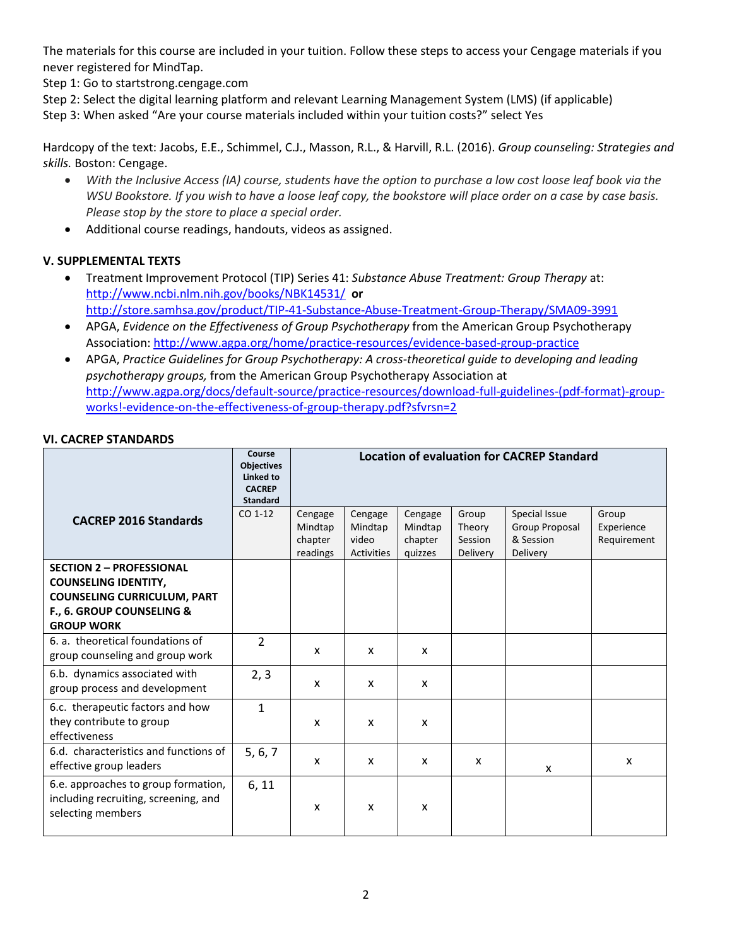The materials for this course are included in your tuition. Follow these steps to access your Cengage materials if you never registered for MindTap.

Step 1: Go to startstrong.cengage.com

Step 2: Select the digital learning platform and relevant Learning Management System (LMS) (if applicable) Step 3: When asked "Are your course materials included within your tuition costs?" select Yes

Hardcopy of the text: Jacobs, E.E., Schimmel, C.J., Masson, R.L., & Harvill, R.L. (2016). *Group counseling: Strategies and skills.* Boston: Cengage.

- *With the Inclusive Access (IA) course, students have the option to purchase a low cost loose leaf book via the WSU Bookstore. If you wish to have a loose leaf copy, the bookstore will place order on a case by case basis. Please stop by the store to place a special order.*
- Additional course readings, handouts, videos as assigned.

## **V. SUPPLEMENTAL TEXTS**

- Treatment Improvement Protocol (TIP) Series 41: *Substance Abuse Treatment: Group Therapy* at: <http://www.ncbi.nlm.nih.gov/books/NBK14531/>**or** <http://store.samhsa.gov/product/TIP-41-Substance-Abuse-Treatment-Group-Therapy/SMA09-3991>
- APGA, *Evidence on the Effectiveness of Group Psychotherapy* from the American Group Psychotherapy Association[: http://www.agpa.org/home/practice-resources/evidence-based-group-practice](http://www.agpa.org/home/practice-resources/evidence-based-group-practice)
- APGA, *Practice Guidelines for Group Psychotherapy: A cross-theoretical guide to developing and leading psychotherapy groups,* from the American Group Psychotherapy Association at [http://www.agpa.org/docs/default-source/practice-resources/download-full-guidelines-\(pdf-format\)-group](http://www.agpa.org/docs/default-source/practice-resources/download-full-guidelines-(pdf-format)-group-works!-evidence-on-the-effectiveness-of-group-therapy.pdf?sfvrsn=2)[works!-evidence-on-the-effectiveness-of-group-therapy.pdf?sfvrsn=2](http://www.agpa.org/docs/default-source/practice-resources/download-full-guidelines-(pdf-format)-group-works!-evidence-on-the-effectiveness-of-group-therapy.pdf?sfvrsn=2)

#### **VI. CACREP STANDARDS**

|                                                                                                                                                        | Course<br><b>Objectives</b><br>Linked to<br><b>CACREP</b><br><b>Standard</b> | <b>Location of evaluation for CACREP Standard</b> |                                           |                                          |                                        |                                                          |                                    |
|--------------------------------------------------------------------------------------------------------------------------------------------------------|------------------------------------------------------------------------------|---------------------------------------------------|-------------------------------------------|------------------------------------------|----------------------------------------|----------------------------------------------------------|------------------------------------|
| <b>CACREP 2016 Standards</b>                                                                                                                           | CO 1-12                                                                      | Cengage<br>Mindtap<br>chapter<br>readings         | Cengage<br>Mindtap<br>video<br>Activities | Cengage<br>Mindtap<br>chapter<br>quizzes | Group<br>Theory<br>Session<br>Delivery | Special Issue<br>Group Proposal<br>& Session<br>Delivery | Group<br>Experience<br>Requirement |
| <b>SECTION 2 - PROFESSIONAL</b><br><b>COUNSELING IDENTITY,</b><br><b>COUNSELING CURRICULUM, PART</b><br>F., 6. GROUP COUNSELING &<br><b>GROUP WORK</b> |                                                                              |                                                   |                                           |                                          |                                        |                                                          |                                    |
| 6. a. theoretical foundations of<br>group counseling and group work                                                                                    | $\overline{2}$                                                               | X                                                 | X                                         | X                                        |                                        |                                                          |                                    |
| 6.b. dynamics associated with<br>group process and development                                                                                         | 2, 3                                                                         | $\mathsf{x}$                                      | X                                         | X                                        |                                        |                                                          |                                    |
| 6.c. therapeutic factors and how<br>they contribute to group<br>effectiveness                                                                          | $\mathbf{1}$                                                                 | X                                                 | X                                         | X                                        |                                        |                                                          |                                    |
| 6.d. characteristics and functions of<br>effective group leaders                                                                                       | 5, 6, 7                                                                      | X                                                 | X                                         | X                                        | X                                      | X                                                        | X                                  |
| 6.e. approaches to group formation,<br>including recruiting, screening, and<br>selecting members                                                       | 6, 11                                                                        | X                                                 | X                                         | X                                        |                                        |                                                          |                                    |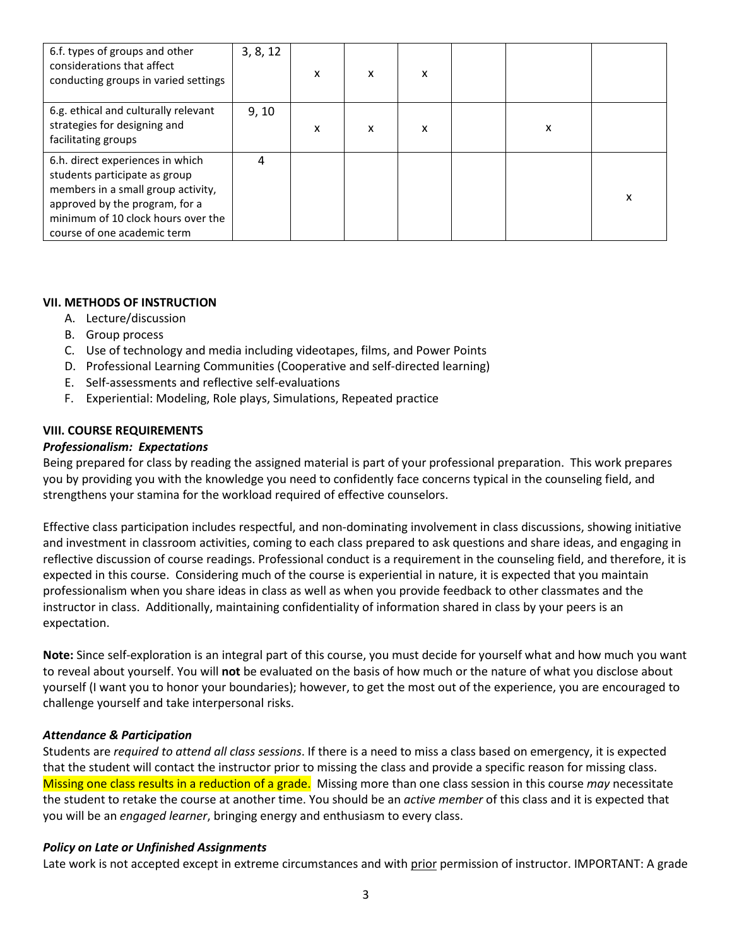| 6.f. types of groups and other<br>considerations that affect<br>conducting groups in varied settings                                                                                                           | 3, 8, 12 | X | X | x |   |   |
|----------------------------------------------------------------------------------------------------------------------------------------------------------------------------------------------------------------|----------|---|---|---|---|---|
| 6.g. ethical and culturally relevant<br>strategies for designing and<br>facilitating groups                                                                                                                    | 9, 10    | X | X | x | X |   |
| 6.h. direct experiences in which<br>students participate as group<br>members in a small group activity,<br>approved by the program, for a<br>minimum of 10 clock hours over the<br>course of one academic term | 4        |   |   |   |   | x |

## **VII. METHODS OF INSTRUCTION**

- A. Lecture/discussion
- B. Group process
- C. Use of technology and media including videotapes, films, and Power Points
- D. Professional Learning Communities (Cooperative and self-directed learning)
- E. Self-assessments and reflective self-evaluations
- F. Experiential: Modeling, Role plays, Simulations, Repeated practice

## **VIII. COURSE REQUIREMENTS**

#### *Professionalism: Expectations*

Being prepared for class by reading the assigned material is part of your professional preparation. This work prepares you by providing you with the knowledge you need to confidently face concerns typical in the counseling field, and strengthens your stamina for the workload required of effective counselors.

Effective class participation includes respectful, and non-dominating involvement in class discussions, showing initiative and investment in classroom activities, coming to each class prepared to ask questions and share ideas, and engaging in reflective discussion of course readings. Professional conduct is a requirement in the counseling field, and therefore, it is expected in this course. Considering much of the course is experiential in nature, it is expected that you maintain professionalism when you share ideas in class as well as when you provide feedback to other classmates and the instructor in class. Additionally, maintaining confidentiality of information shared in class by your peers is an expectation.

**Note:** Since self-exploration is an integral part of this course, you must decide for yourself what and how much you want to reveal about yourself. You will **not** be evaluated on the basis of how much or the nature of what you disclose about yourself (I want you to honor your boundaries); however, to get the most out of the experience, you are encouraged to challenge yourself and take interpersonal risks.

#### *Attendance & Participation*

Students are *required to attend all class sessions*. If there is a need to miss a class based on emergency, it is expected that the student will contact the instructor prior to missing the class and provide a specific reason for missing class. Missing one class results in a reduction of a grade. Missing more than one class session in this course *may* necessitate the student to retake the course at another time. You should be an *active member* of this class and it is expected that you will be an *engaged learner*, bringing energy and enthusiasm to every class.

#### *Policy on Late or Unfinished Assignments*

Late work is not accepted except in extreme circumstances and with prior permission of instructor. IMPORTANT: A grade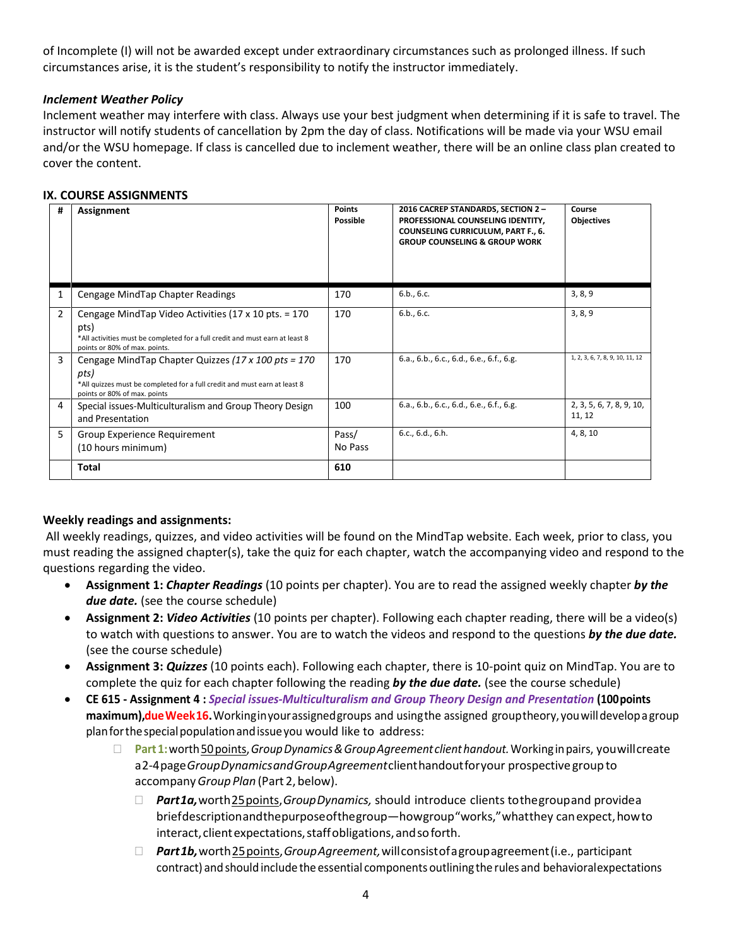of Incomplete (I) will not be awarded except under extraordinary circumstances such as prolonged illness. If such circumstances arise, it is the student's responsibility to notify the instructor immediately.

## *Inclement Weather Policy*

Inclement weather may interfere with class. Always use your best judgment when determining if it is safe to travel. The instructor will notify students of cancellation by 2pm the day of class. Notifications will be made via your WSU email and/or the WSU homepage. If class is cancelled due to inclement weather, there will be an online class plan created to cover the content.

#### **IX. COURSE ASSIGNMENTS**

| #              | Assignment                                                                                                                                                                              | <b>Points</b><br>Possible | 2016 CACREP STANDARDS, SECTION 2-<br>PROFESSIONAL COUNSELING IDENTITY,<br><b>COUNSELING CURRICULUM, PART F., 6.</b><br><b>GROUP COUNSELING &amp; GROUP WORK</b> | Course<br>Objectives               |
|----------------|-----------------------------------------------------------------------------------------------------------------------------------------------------------------------------------------|---------------------------|-----------------------------------------------------------------------------------------------------------------------------------------------------------------|------------------------------------|
|                | Cengage MindTap Chapter Readings                                                                                                                                                        | 170                       | 6.b., 6.c.                                                                                                                                                      | 3, 8, 9                            |
| $\overline{2}$ | Cengage MindTap Video Activities (17 x 10 pts. $= 170$<br>pts)<br>*All activities must be completed for a full credit and must earn at least 8<br>points or 80% of max. points.         | 170                       | 6.b., 6.c.                                                                                                                                                      | 3, 8, 9                            |
| 3              | Cengage MindTap Chapter Quizzes $(17 \times 100 \text{ pts} = 170$<br>pts)<br>*All quizzes must be completed for a full credit and must earn at least 8<br>points or 80% of max. points | 170                       | 6.a., 6.b., 6.c., 6.d., 6.e., 6.f., 6.g.                                                                                                                        | 1, 2, 3, 6, 7, 8, 9, 10, 11, 12    |
| 4              | Special issues-Multiculturalism and Group Theory Design<br>and Presentation                                                                                                             | 100                       | 6.a., 6.b., 6.c., 6.d., 6.e., 6.f., 6.g.                                                                                                                        | 2, 3, 5, 6, 7, 8, 9, 10,<br>11, 12 |
| 5              | Group Experience Requirement<br>(10 hours minimum)                                                                                                                                      | Pass/<br>No Pass          | 6.c., 6.d., 6.h.                                                                                                                                                | 4, 8, 10                           |
|                | Total                                                                                                                                                                                   | 610                       |                                                                                                                                                                 |                                    |

#### **Weekly readings and assignments:**

All weekly readings, quizzes, and video activities will be found on the MindTap website. Each week, prior to class, you must reading the assigned chapter(s), take the quiz for each chapter, watch the accompanying video and respond to the questions regarding the video.

- **Assignment 1:** *Chapter Readings* (10 points per chapter). You are to read the assigned weekly chapter *by the due date.* (see the course schedule)
- **Assignment 2:** *Video Activities* (10 points per chapter). Following each chapter reading, there will be a video(s) to watch with questions to answer. You are to watch the videos and respond to the questions *by the due date.* (see the course schedule)
- **Assignment 3:** *Quizzes* (10 points each). Following each chapter, there is 10-point quiz on MindTap. You are to complete the quiz for each chapter following the reading *by the due date.* (see the course schedule)
- **CE 615 - Assignment 4 :** *Special issues-Multiculturalism and Group Theory Design and Presentation* **(100points maximum), dueWeek16.**Workinginyourassignedgroups and usingthe assigned grouptheory, youwilldevelopagroup planforthespecialpopulationandissueyou would like to address:
	- **Part1:**worth50points,*GroupDynamics&GroupAgreement clienthandout.*Workinginpairs, youwillcreate a2-4page*GroupDynamicsandGroupAgreement*clienthandoutforyour prospective group to accompany*GroupPlan* (Part 2, below).
		- *Part1a,*worth25points,*GroupDynamics,* should introduce clients tothegroupand providea briefdescriptionandthepurposeofthegroup—howgroup"works,"whatthey canexpect,howto interact, client expectations, staff obligations, and soforth.
		- *Part1b,*worth25points,*GroupAgreement,*willconsistofagroupagreement(i.e., participant contract) and should include the essential components outlining the rules and behavioralexpectations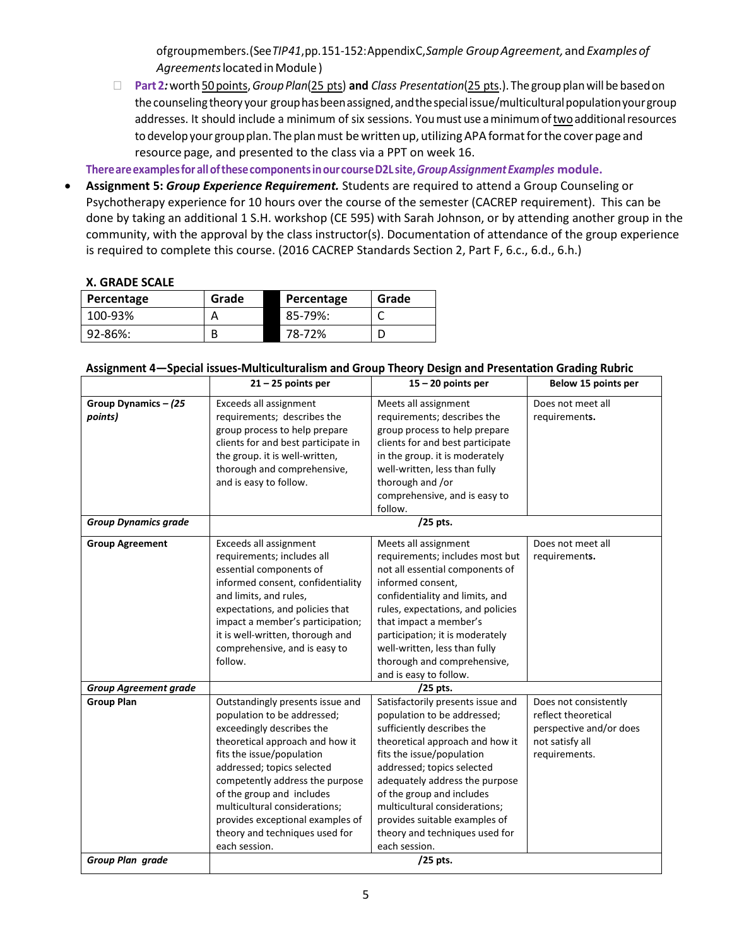ofgroupmembers.(See*TIP41*,pp.151-152:AppendixC,*Sample GroupAgreement,*and*Examplesof Agreements*locatedinModule)

 **Part 2***:*worth50 points,*GroupPlan*(25 pts) **and** *Class Presentation*(25 pts.). The group planwill be basedon the counseling theory your group has been assigned, and the special issue/multicultural population your group addresses. It should include a minimum of six sessions. Youmust use aminimumoftwo additionalresources to develop your group plan. The plan must be written up, utilizing APA format for the cover page and resource page, and presented to the class via a PPT on week 16.

**Thereareexamplesfor allofthesecomponentsinour courseD2L site,***GroupAssignmentExamples* **module.**

• **Assignment 5:** *Group Experience Requirement.* Students are required to attend a Group Counseling or Psychotherapy experience for 10 hours over the course of the semester (CACREP requirement). This can be done by taking an additional 1 S.H. workshop (CE 595) with Sarah Johnson, or by attending another group in the community, with the approval by the class instructor(s). Documentation of attendance of the group experience is required to complete this course. (2016 CACREP Standards Section 2, Part F, 6.c., 6.d., 6.h.)

#### **X. GRADE SCALE**

| Percentage | Grade | Percentage | Grade |
|------------|-------|------------|-------|
| 100-93%    |       | 85-79%:    |       |
| 92-86%:    |       | 78-72%     |       |

#### **Assignment 4—Special issues-Multiculturalism and Group Theory Design and Presentation Grading Rubric**

|                                   | $21 - 25$ points per                                                                                                                                                                                                                                                                                                                                                               | $15 - 20$ points per                                                                                                                                                                                                                                                                                                                                                             | Below 15 points per                                                                                         |
|-----------------------------------|------------------------------------------------------------------------------------------------------------------------------------------------------------------------------------------------------------------------------------------------------------------------------------------------------------------------------------------------------------------------------------|----------------------------------------------------------------------------------------------------------------------------------------------------------------------------------------------------------------------------------------------------------------------------------------------------------------------------------------------------------------------------------|-------------------------------------------------------------------------------------------------------------|
| Group Dynamics $-$ (25<br>points) | Exceeds all assignment<br>requirements; describes the<br>group process to help prepare<br>clients for and best participate in<br>the group. it is well-written,<br>thorough and comprehensive,<br>and is easy to follow.                                                                                                                                                           | Meets all assignment<br>requirements; describes the<br>group process to help prepare<br>clients for and best participate<br>in the group. it is moderately<br>well-written, less than fully<br>thorough and /or<br>comprehensive, and is easy to<br>follow.                                                                                                                      | Does not meet all<br>requirements.                                                                          |
| <b>Group Dynamics grade</b>       |                                                                                                                                                                                                                                                                                                                                                                                    | /25 pts.                                                                                                                                                                                                                                                                                                                                                                         |                                                                                                             |
| <b>Group Agreement</b>            | Exceeds all assignment<br>requirements; includes all<br>essential components of<br>informed consent, confidentiality<br>and limits, and rules,<br>expectations, and policies that<br>impact a member's participation;<br>it is well-written, thorough and<br>comprehensive, and is easy to<br>follow.                                                                              | Meets all assignment<br>requirements; includes most but<br>not all essential components of<br>informed consent,<br>confidentiality and limits, and<br>rules, expectations, and policies<br>that impact a member's<br>participation; it is moderately<br>well-written, less than fully<br>thorough and comprehensive,<br>and is easy to follow.                                   | Does not meet all<br>requirements.                                                                          |
| <b>Group Agreement grade</b>      |                                                                                                                                                                                                                                                                                                                                                                                    | $/25$ pts.                                                                                                                                                                                                                                                                                                                                                                       |                                                                                                             |
| <b>Group Plan</b>                 | Outstandingly presents issue and<br>population to be addressed;<br>exceedingly describes the<br>theoretical approach and how it<br>fits the issue/population<br>addressed; topics selected<br>competently address the purpose<br>of the group and includes<br>multicultural considerations;<br>provides exceptional examples of<br>theory and techniques used for<br>each session. | Satisfactorily presents issue and<br>population to be addressed;<br>sufficiently describes the<br>theoretical approach and how it<br>fits the issue/population<br>addressed; topics selected<br>adequately address the purpose<br>of the group and includes<br>multicultural considerations;<br>provides suitable examples of<br>theory and techniques used for<br>each session. | Does not consistently<br>reflect theoretical<br>perspective and/or does<br>not satisfy all<br>requirements. |
| Group Plan grade                  |                                                                                                                                                                                                                                                                                                                                                                                    | /25 pts.                                                                                                                                                                                                                                                                                                                                                                         |                                                                                                             |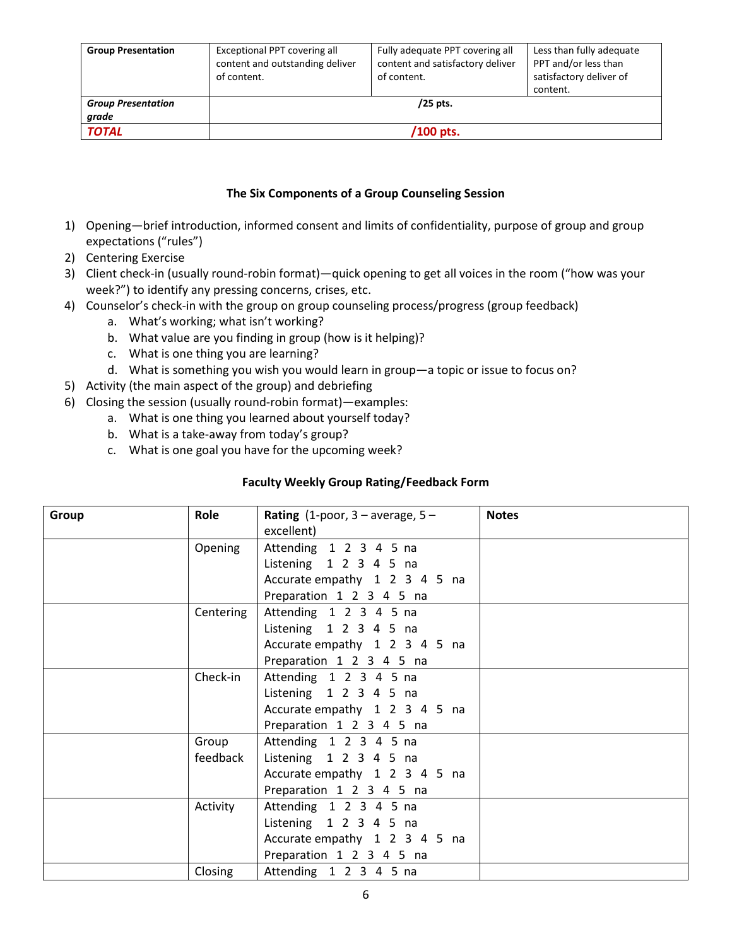| <b>Group Presentation</b>          | Exceptional PPT covering all<br>content and outstanding deliver<br>of content. | Fully adequate PPT covering all<br>content and satisfactory deliver<br>of content. | Less than fully adequate<br>PPT and/or less than<br>satisfactory deliver of<br>content. |
|------------------------------------|--------------------------------------------------------------------------------|------------------------------------------------------------------------------------|-----------------------------------------------------------------------------------------|
| <b>Group Presentation</b><br>grade |                                                                                | $/25$ pts.                                                                         |                                                                                         |
| <b>TOTAL</b>                       |                                                                                | /100 pts.                                                                          |                                                                                         |

## **The Six Components of a Group Counseling Session**

- 1) Opening—brief introduction, informed consent and limits of confidentiality, purpose of group and group expectations ("rules")
- 2) Centering Exercise
- 3) Client check-in (usually round-robin format)—quick opening to get all voices in the room ("how was your week?") to identify any pressing concerns, crises, etc.
- 4) Counselor's check-in with the group on group counseling process/progress (group feedback)
	- a. What's working; what isn't working?
	- b. What value are you finding in group (how is it helping)?
	- c. What is one thing you are learning?
	- d. What is something you wish you would learn in group—a topic or issue to focus on?
- 5) Activity (the main aspect of the group) and debriefing
- 6) Closing the session (usually round-robin format)—examples:
	- a. What is one thing you learned about yourself today?
	- b. What is a take-away from today's group?
	- c. What is one goal you have for the upcoming week?

## **Faculty Weekly Group Rating/Feedback Form**

| Group | Role      | Rating (1-poor, $3$ – average, $5$ – | <b>Notes</b> |
|-------|-----------|--------------------------------------|--------------|
|       |           | excellent)                           |              |
|       | Opening   | Attending 1 2 3 4 5 na               |              |
|       |           | Listening 1 2 3 4 5 na               |              |
|       |           | Accurate empathy 1 2 3 4 5 na        |              |
|       |           | Preparation 1 2 3 4 5 na             |              |
|       | Centering | Attending 1 2 3 4 5 na               |              |
|       |           | Listening 1 2 3 4 5 na               |              |
|       |           | Accurate empathy 1 2 3 4 5 na        |              |
|       |           | Preparation 1 2 3 4 5 na             |              |
|       | Check-in  | Attending 1 2 3 4 5 na               |              |
|       |           | Listening $1$ 2 3 4 5 na             |              |
|       |           | Accurate empathy 1 2 3 4 5 na        |              |
|       |           | Preparation 1 2 3 4 5 na             |              |
|       | Group     | Attending 1 2 3 4 5 na               |              |
|       | feedback  | Listening 1 2 3 4 5 na               |              |
|       |           | Accurate empathy 1 2 3 4 5 na        |              |
|       |           | Preparation 1 2 3 4 5 na             |              |
|       | Activity  | Attending 1 2 3 4 5 na               |              |
|       |           | Listening 1 2 3 4 5 na               |              |
|       |           | Accurate empathy 1 2 3 4 5 na        |              |
|       |           | Preparation 1 2 3 4 5 na             |              |
|       | Closing   | Attending 1 2 3 4 5 na               |              |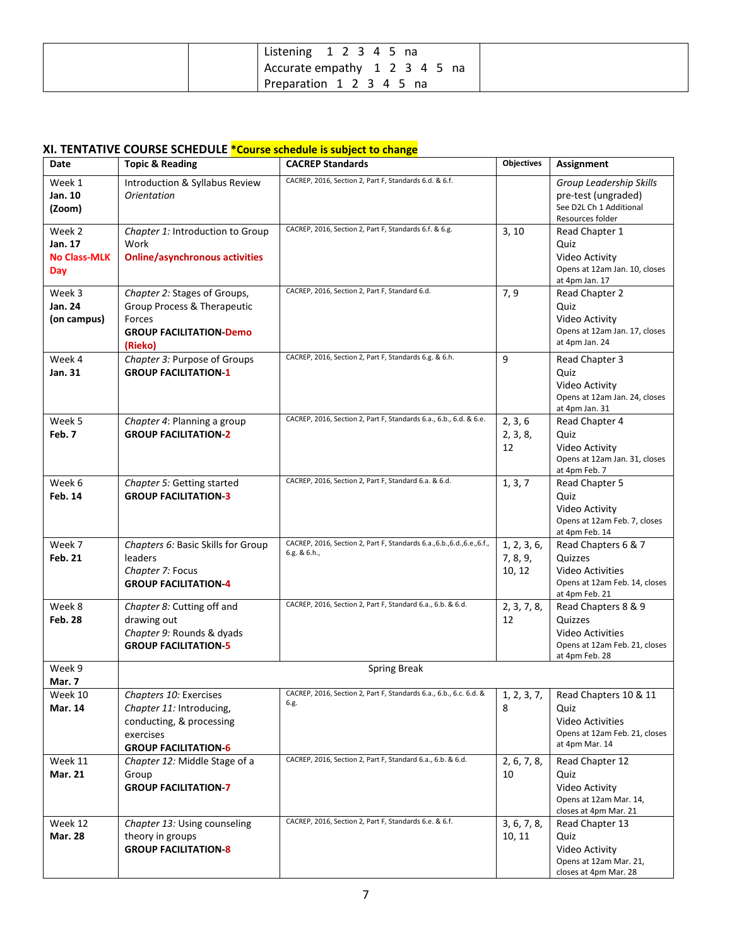| Listening $1\ 2\ 3\ 4\ 5\$ na |  |
|-------------------------------|--|
| Accurate empathy 1 2 3 4 5 na |  |
| Preparation 1 2 3 4 5 na      |  |

## **XI. TENTATIVE COURSE SCHEDULE \*Course schedule is subject to change**

| Date                                            | <b>Topic &amp; Reading</b>                                                                                                 | <b>CACREP Standards</b>                                                                  | <b>Objectives</b>                 | Assignment                                                                                                   |
|-------------------------------------------------|----------------------------------------------------------------------------------------------------------------------------|------------------------------------------------------------------------------------------|-----------------------------------|--------------------------------------------------------------------------------------------------------------|
| Week 1<br>Jan. 10<br>(Zoom)                     | Introduction & Syllabus Review<br><b>Orientation</b>                                                                       | CACREP, 2016, Section 2, Part F, Standards 6.d. & 6.f.                                   |                                   | Group Leadership Skills<br>pre-test (ungraded)<br>See D2L Ch 1 Additional<br>Resources folder                |
| Week 2<br>Jan. 17<br><b>No Class-MLK</b><br>Day | Chapter 1: Introduction to Group<br>Work<br><b>Online/asynchronous activities</b>                                          | CACREP, 2016, Section 2, Part F, Standards 6.f. & 6.g.                                   | 3, 10                             | Read Chapter 1<br>Quiz<br>Video Activity<br>Opens at 12am Jan. 10, closes<br>at 4pm Jan. 17                  |
| Week 3<br>Jan. 24<br>(on campus)                | Chapter 2: Stages of Groups,<br>Group Process & Therapeutic<br>Forces<br><b>GROUP FACILITATION-Demo</b><br>(Rieko)         | CACREP, 2016, Section 2, Part F, Standard 6.d.                                           | 7,9                               | Read Chapter 2<br>Quiz<br>Video Activity<br>Opens at 12am Jan. 17, closes<br>at 4pm Jan. 24                  |
| Week 4<br>Jan. 31                               | Chapter 3: Purpose of Groups<br><b>GROUP FACILITATION-1</b>                                                                | CACREP, 2016, Section 2, Part F, Standards 6.g. & 6.h.                                   | 9                                 | Read Chapter 3<br>Quiz<br>Video Activity<br>Opens at 12am Jan. 24, closes<br>at 4pm Jan. 31                  |
| Week 5<br>Feb. 7                                | Chapter 4: Planning a group<br><b>GROUP FACILITATION-2</b>                                                                 | CACREP, 2016, Section 2, Part F, Standards 6.a., 6.b., 6.d. & 6.e.                       | 2, 3, 6<br>2, 3, 8,<br>12         | Read Chapter 4<br>Quiz<br>Video Activity<br>Opens at 12am Jan. 31, closes<br>at 4pm Feb. 7                   |
| Week 6<br><b>Feb. 14</b>                        | Chapter 5: Getting started<br><b>GROUP FACILITATION-3</b>                                                                  | CACREP, 2016, Section 2, Part F, Standard 6.a. & 6.d.                                    | 1, 3, 7                           | Read Chapter 5<br>Quiz<br>Video Activity<br>Opens at 12am Feb. 7, closes<br>at 4pm Feb. 14                   |
| Week 7<br><b>Feb. 21</b>                        | Chapters 6: Basic Skills for Group<br>leaders<br>Chapter 7: Focus<br><b>GROUP FACILITATION-4</b>                           | CACREP, 2016, Section 2, Part F, Standards 6.a., 6.b., 6.d., 6.e., 6.f.,<br>6.g. & 6.h., | 1, 2, 3, 6,<br>7, 8, 9,<br>10, 12 | Read Chapters 6 & 7<br>Quizzes<br><b>Video Activities</b><br>Opens at 12am Feb. 14, closes<br>at 4pm Feb. 21 |
| Week 8<br><b>Feb. 28</b>                        | Chapter 8: Cutting off and<br>drawing out<br>Chapter 9: Rounds & dyads<br><b>GROUP FACILITATION-5</b>                      | CACREP, 2016, Section 2, Part F, Standard 6.a., 6.b. & 6.d.                              | 2, 3, 7, 8,<br>12                 | Read Chapters 8 & 9<br>Quizzes<br>Video Activities<br>Opens at 12am Feb. 21, closes<br>at 4pm Feb. 28        |
| Week 9<br>Mar. 7                                |                                                                                                                            | <b>Spring Break</b>                                                                      |                                   |                                                                                                              |
| Week 10<br><b>Mar. 14</b>                       | Chapters 10: Exercises<br>Chapter 11: Introducing,<br>conducting, & processing<br>exercises<br><b>GROUP FACILITATION-6</b> | CACREP, 2016, Section 2, Part F, Standards 6.a., 6.b., 6.c. 6.d. &<br>6.g.               | 1, 2, 3, 7,<br>8                  | Read Chapters 10 & 11<br>Quiz<br>Video Activities<br>Opens at 12am Feb. 21, closes<br>at 4pm Mar. 14         |
| Week 11<br>Mar. 21                              | Chapter 12: Middle Stage of a<br>Group<br><b>GROUP FACILITATION-7</b>                                                      | CACREP, 2016, Section 2, Part F, Standard 6.a., 6.b. & 6.d.                              | 2, 6, 7, 8,<br>10                 | Read Chapter 12<br>Quiz<br>Video Activity<br>Opens at 12am Mar. 14,<br>closes at 4pm Mar. 21                 |
| Week 12<br><b>Mar. 28</b>                       | Chapter 13: Using counseling<br>theory in groups<br><b>GROUP FACILITATION-8</b>                                            | CACREP, 2016, Section 2, Part F, Standards 6.e. & 6.f.                                   | 3, 6, 7, 8,<br>10, 11             | Read Chapter 13<br>Quiz<br>Video Activity<br>Opens at 12am Mar. 21,<br>closes at 4pm Mar. 28                 |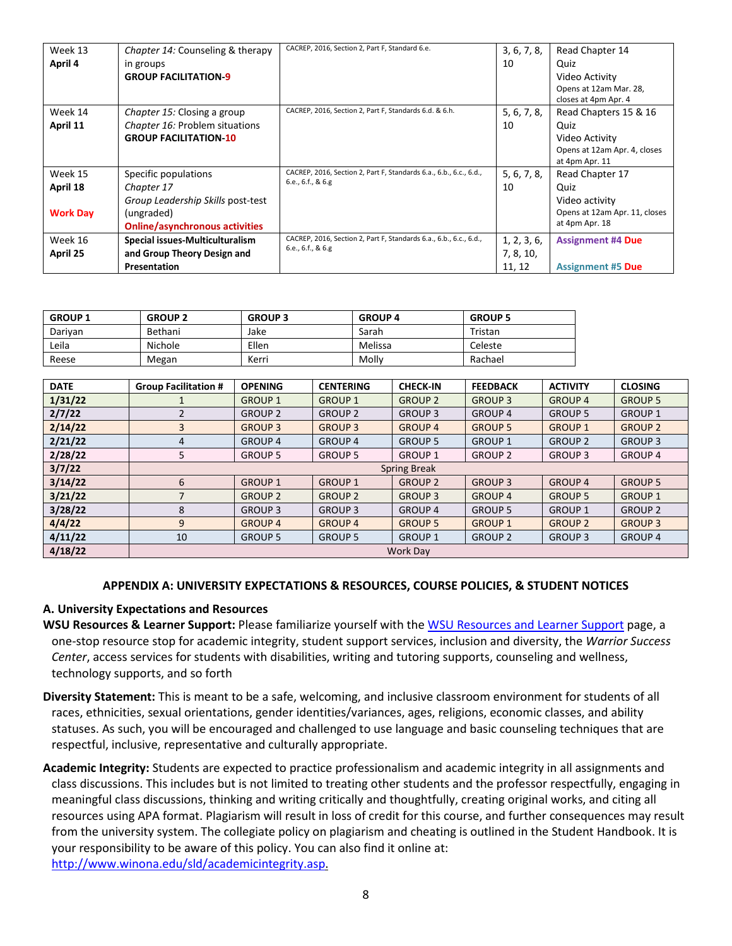| Week 13<br>April 4 | Chapter 14: Counseling & therapy<br>in groups<br><b>GROUP FACILITATION-9</b> | CACREP, 2016, Section 2, Part F, Standard 6.e.                     | 3, 6, 7, 8,<br>10 | Read Chapter 14<br>Quiz<br>Video Activity<br>Opens at 12am Mar. 28,<br>closes at 4pm Apr. 4 |
|--------------------|------------------------------------------------------------------------------|--------------------------------------------------------------------|-------------------|---------------------------------------------------------------------------------------------|
| Week 14            | Chapter 15: Closing a group                                                  | CACREP, 2016, Section 2, Part F, Standards 6.d. & 6.h.             | 5, 6, 7, 8,       | Read Chapters 15 & 16                                                                       |
| April 11           | Chapter 16: Problem situations                                               |                                                                    | 10                | Quiz                                                                                        |
|                    | <b>GROUP FACILITATION-10</b>                                                 |                                                                    |                   | Video Activity                                                                              |
|                    |                                                                              |                                                                    |                   | Opens at 12am Apr. 4, closes                                                                |
|                    |                                                                              | CACREP, 2016, Section 2, Part F, Standards 6.a., 6.b., 6.c., 6.d., |                   | at 4pm Apr. 11                                                                              |
| Week 15            | Specific populations                                                         | 6.e., 6.f., 8.6.g.                                                 | 5, 6, 7, 8,       | Read Chapter 17                                                                             |
| April 18           | Chapter 17                                                                   |                                                                    | 10                | Quiz                                                                                        |
|                    | Group Leadership Skills post-test                                            |                                                                    |                   | Video activity                                                                              |
| <b>Work Day</b>    | (ungraded)                                                                   |                                                                    |                   | Opens at 12am Apr. 11, closes                                                               |
|                    | <b>Online/asynchronous activities</b>                                        |                                                                    |                   | at 4pm Apr. 18                                                                              |
| Week 16            | Special issues-Multiculturalism                                              | CACREP, 2016, Section 2, Part F, Standards 6.a., 6.b., 6.c., 6.d., | 1, 2, 3, 6,       | <b>Assignment #4 Due</b>                                                                    |
| April 25           | and Group Theory Design and                                                  | 6.e., 6.f., & 6.g                                                  | 7, 8, 10,         |                                                                                             |
|                    | Presentation                                                                 |                                                                    | 11, 12            | <b>Assignment #5 Due</b>                                                                    |

| <b>GROUP 1</b> | <b>GROUP 2</b> | <b>GROUP 3</b> | <b>GROUP 4</b> | <b>GROUP 5</b> |
|----------------|----------------|----------------|----------------|----------------|
| Darivan        | Bethani        | Jake           | Sarah          | Tristan        |
| Leila          | Nichole        | Ellen          | Melissa        | Celeste        |
| Reese          | Megan          | Kerri          | Molly          | Rachael        |

| <b>DATE</b> | <b>Group Facilitation #</b> | <b>OPENING</b> | <b>CENTERING</b> | <b>CHECK-IN</b> | <b>FEEDBACK</b> | <b>ACTIVITY</b> | <b>CLOSING</b> |
|-------------|-----------------------------|----------------|------------------|-----------------|-----------------|-----------------|----------------|
| 1/31/22     |                             | <b>GROUP 1</b> | <b>GROUP 1</b>   | <b>GROUP 2</b>  | <b>GROUP 3</b>  | <b>GROUP 4</b>  | <b>GROUP 5</b> |
| 2/7/22      |                             | <b>GROUP 2</b> | <b>GROUP 2</b>   | <b>GROUP 3</b>  | <b>GROUP 4</b>  | <b>GROUP 5</b>  | <b>GROUP 1</b> |
| 2/14/22     | 3                           | <b>GROUP 3</b> | <b>GROUP 3</b>   | <b>GROUP 4</b>  | <b>GROUP 5</b>  | <b>GROUP 1</b>  | <b>GROUP 2</b> |
| 2/21/22     | 4                           | <b>GROUP 4</b> | <b>GROUP 4</b>   | <b>GROUP 5</b>  | <b>GROUP 1</b>  | <b>GROUP 2</b>  | <b>GROUP 3</b> |
| 2/28/22     | 5                           | <b>GROUP 5</b> | <b>GROUP 5</b>   | <b>GROUP 1</b>  | <b>GROUP 2</b>  | <b>GROUP 3</b>  | <b>GROUP 4</b> |
| 3/7/22      | <b>Spring Break</b>         |                |                  |                 |                 |                 |                |
| 3/14/22     | 6                           | <b>GROUP 1</b> | <b>GROUP 1</b>   | <b>GROUP 2</b>  | <b>GROUP 3</b>  | <b>GROUP 4</b>  | <b>GROUP 5</b> |
| 3/21/22     | 7                           | <b>GROUP 2</b> | <b>GROUP 2</b>   | <b>GROUP 3</b>  | <b>GROUP 4</b>  | <b>GROUP 5</b>  | <b>GROUP 1</b> |
| 3/28/22     | 8                           | <b>GROUP 3</b> | <b>GROUP 3</b>   | <b>GROUP 4</b>  | <b>GROUP 5</b>  | <b>GROUP 1</b>  | <b>GROUP 2</b> |
| 4/4/22      | 9                           | <b>GROUP 4</b> | <b>GROUP 4</b>   | <b>GROUP 5</b>  | <b>GROUP 1</b>  | <b>GROUP 2</b>  | <b>GROUP 3</b> |
| 4/11/22     | 10                          | <b>GROUP 5</b> | <b>GROUP 5</b>   | <b>GROUP 1</b>  | <b>GROUP 2</b>  | <b>GROUP 3</b>  | <b>GROUP 4</b> |
| 4/18/22     | <b>Work Day</b>             |                |                  |                 |                 |                 |                |

#### **APPENDIX A: UNIVERSITY EXPECTATIONS & RESOURCES, COURSE POLICIES, & STUDENT NOTICES**

#### **A. University Expectations and Resources**

- **WSU Resources & Learner Support:** Please familiarize yourself with the [WSU Resources and Learner Support](https://learn.winona.edu/WSU_Resources_%26_Learner_Support) page, a one-stop resource stop for academic integrity, student support services, inclusion and diversity, the *Warrior Success Center*, access services for students with disabilities, writing and tutoring supports, counseling and wellness, technology supports, and so forth
- **Diversity Statement:** This is meant to be a safe, welcoming, and inclusive classroom environment for students of all races, ethnicities, sexual orientations, gender identities/variances, ages, religions, economic classes, and ability statuses. As such, you will be encouraged and challenged to use language and basic counseling techniques that are respectful, inclusive, representative and culturally appropriate.
- **Academic Integrity:** Students are expected to practice professionalism and academic integrity in all assignments and class discussions. This includes but is not limited to treating other students and the professor respectfully, engaging in meaningful class discussions, thinking and writing critically and thoughtfully, creating original works, and citing all resources using APA format. Plagiarism will result in loss of credit for this course, and further consequences may result from the university system. The collegiate policy on plagiarism and cheating is outlined in the Student Handbook. It is your responsibility to be aware of this policy. You can also find it online at: [http://www.winona.edu/sld/academicintegrity.asp.](http://www.winona.edu/sld/academicintegrity.asp)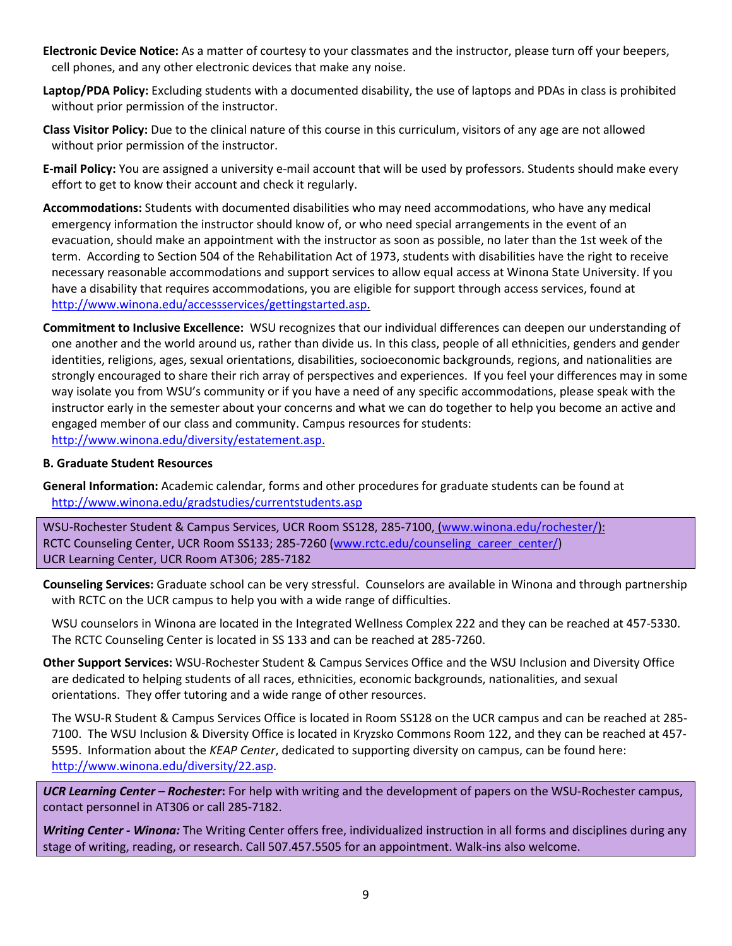- **Electronic Device Notice:** As a matter of courtesy to your classmates and the instructor, please turn off your beepers, cell phones, and any other electronic devices that make any noise.
- **Laptop/PDA Policy:** Excluding students with a documented disability, the use of laptops and PDAs in class is prohibited without prior permission of the instructor.
- **Class Visitor Policy:** Due to the clinical nature of this course in this curriculum, visitors of any age are not allowed without prior permission of the instructor.
- **E-mail Policy:** You are assigned a university e-mail account that will be used by professors. Students should make every effort to get to know their account and check it regularly.
- **Accommodations:** Students with documented disabilities who may need accommodations, who have any medical emergency information the instructor should know of, or who need special arrangements in the event of an evacuation, should make an appointment with the instructor as soon as possible, no later than the 1st week of the term. According to Section 504 of the Rehabilitation Act of 1973, students with disabilities have the right to receive necessary reasonable accommodations and support services to allow equal access at Winona State University. If you have a disability that requires accommodations, you are eligible for support through access services, found at [http://www.winona.edu/accessservices/gettingstarted.asp.](http://www.winona.edu/accessservices/gettingstarted.asp)
- **Commitment to Inclusive Excellence:** WSU recognizes that our individual differences can deepen our understanding of one another and the world around us, rather than divide us. In this class, people of all ethnicities, genders and gender identities, religions, ages, sexual orientations, disabilities, socioeconomic backgrounds, regions, and nationalities are strongly encouraged to share their rich array of perspectives and experiences. If you feel your differences may in some way isolate you from WSU's community or if you have a need of any specific accommodations, please speak with the instructor early in the semester about your concerns and what we can do together to help you become an active and engaged member of our class and community. Campus resources for students: [http://www.winona.edu/diversity/estatement.asp.](http://www.winona.edu/diversity/estatement.asp)

#### **B. Graduate Student Resources**

**General Information:** Academic calendar, forms and other procedures for graduate students can be found at <http://www.winona.edu/gradstudies/currentstudents.asp>

WSU-Rochester Student & Campus Services, UCR Room SS128, 285-7100, [\(www.winona.edu/rochester/\)](http://www.winona.edu/rochester/): RCTC Counseling Center, UCR Room SS133; 285-7260 [\(www.rctc.edu/counseling\\_career\\_center/\)](http://www.rctc.edu/counseling_career_center/) UCR Learning Center, UCR Room AT306; 285-7182

**Counseling Services:** Graduate school can be very stressful. Counselors are available in Winona and through partnership with RCTC on the UCR campus to help you with a wide range of difficulties.

WSU counselors in Winona are located in the Integrated Wellness Complex 222 and they can be reached at 457-5330. The RCTC Counseling Center is located in SS 133 and can be reached at 285-7260.

**Other Support Services:** WSU-Rochester Student & Campus Services Office and the WSU Inclusion and Diversity Office are dedicated to helping students of all races, ethnicities, economic backgrounds, nationalities, and sexual orientations. They offer tutoring and a wide range of other resources.

The WSU-R Student & Campus Services Office is located in Room SS128 on the UCR campus and can be reached at 285- 7100. The WSU Inclusion & Diversity Office is located in Kryzsko Commons Room 122, and they can be reached at 457- 5595. Information about the *KEAP Center*, dedicated to supporting diversity on campus, can be found here: [http://www.winona.edu/diversity/22.asp.](http://www.winona.edu/diversity/22.asp)

*UCR Learning Center – Rochester***:** For help with writing and the development of papers on the WSU-Rochester campus, contact personnel in AT306 or call 285-7182.

*Writing Center - Winona:* The Writing Center offers free, individualized instruction in all forms and disciplines during any stage of writing, reading, or research. Call 507.457.5505 for an appointment. Walk-ins also welcome.